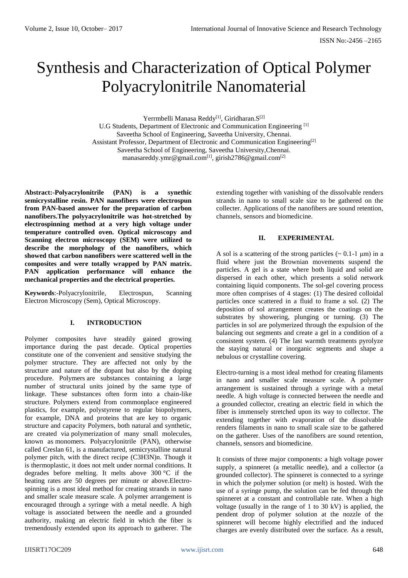# Synthesis and Characterization of Optical Polymer Polyacrylonitrile Nanomaterial

Yerrmbelli Manasa Reddy<sup>[1]</sup>, Giridharan.S<sup>[2]</sup> U.G Students, Department of Electronic and Communication Engineering [1] Saveetha School of Engineering, Saveetha University, Chennai. Assistant Professor, Department of Electronic and Communication Engineering[2] Saveetha School of Engineering, Saveetha University,Chennai. [manasareddy.ymr@gmail.com](mailto:manasareddy.ymr@gmail.com[1)<sup>[1]</sup>, girish2786@gmail.com<sup>[2]</sup>

**Abstract:-Polyacrylonitrile (PAN) is a synethic semicrystalline resin. PAN nanofibers were electrospun from PAN-based answer for the preparation of carbon nanofibers.The polyyacrylonitrile was hot-stretched by electrospinning method at a very high voltage under temperature controlled oven. Optical microscopy and Scanning electron microscopy (SEM) were utilized to describe the morphology of the nanofibers, which showed that carbon nanofibers were scattered well in the composites and were totally wrapped by PAN matrix. PAN application performance will enhance the mechanical properties and the electrical properties.**

**Keywords**:-Polyacrylonitrile, Electrospun, Scanning Electron Microscopy (Sem), Optical Microscopy.

# **I. INTRODUCTION**

Polymer composites have steadily gained growing importance during the past decade. Optical properties constitute one of the convenient and sensitive studying the polymer structure. They are affected not only by the structure and nature of the dopant but also by the doping procedure. Polymers are substances containing a large number of structural units joined by the same type of linkage. These substances often form into a chain-like structure. Polymers extend from commonplace engineered plastics, for example, polystyrene to regular biopolymers, for example, DNA and proteins that are key to organic structure and capacity Polymers, both natural and synthetic, are created via [polymerization](https://en.wikipedia.org/wiki/Polymerization) of many small molecules, known as [monomers.](https://en.wikipedia.org/wiki/Monomer) Polyacrylonitrile (PAN), otherwise called Creslan 61, is a manufactured, semicrystalline natural polymer pitch, with the direct recipe (C3H3N)n. Though it is thermoplastic, it does not melt under normal conditions. It degrades before melting. It melts above 300 °C if the heating rates are 50 degrees per minute or above.Electrospinning is a most ideal method for creating strands in nano and smaller scale measure scale. A polymer arrangement is encouraged through a syringe with a metal needle. A high voltage is associated between the needle and a grounded authority, making an electric field in which the fiber is tremendously extended upon its approach to gatherer. The

extending together with vanishing of the dissolvable renders strands in nano to small scale size to be gathered on the collecter. Applications of the nanofibers are sound retention, channels, sensors and biomedicine.

## **II. EXPERIMENTAL**

A sol is a scattering of the strong particles  $(\sim 0.1$ -1 µm) in a fluid where just the Brownian movements suspend the particles. A gel is a state where both liquid and solid are dispersed in each other, which presents a solid network containing liquid components. The sol-gel covering process more often comprises of 4 stages: (1) The desired colloidal particles once scattered in a fluid to frame a sol. (2) The deposition of sol arrangement creates the coatings on the substrates by showering, plunging or turning. (3) The particles in sol are polymerized through the expulsion of the balancing out segments and create a gel in a condition of a consistent system. (4) The last warmth treatments pyrolyze the staying natural or inorganic segments and shape a nebulous or crystalline covering.

Electro-turning is a most ideal method for creating filaments in nano and smaller scale measure scale. A polymer arrangement is sustained through a syringe with a metal needle. A high voltage is connected between the needle and a grounded collector, creating an electric field in which the fiber is immensely stretched upon its way to collector. The extending together with evaporation of the dissolvable renders filaments in nano to small scale size to be gathered on the gatherer. Uses of the nanofibers are sound retention, channels, sensors and biomedicine.

It consists of three major components: a high voltage power supply, a spinneret (a metallic needle), and a collector (a grounded collector). The spinneret is connected to a syringe in which the polymer solution (or melt) is hosted. With the use of a syringe pump, the solution can be fed through the spinneret at a constant and controllable rate. When a high voltage (usually in the range of 1 to 30 kV) is applied, the pendent drop of polymer solution at the nozzle of the spinneret will become highly electrified and the induced charges are evenly distributed over the surface. As a result,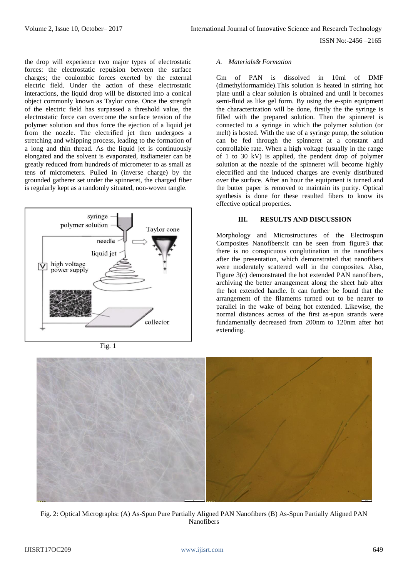ISSN No:-2456 –2165

the drop will experience two major types of electrostatic forces: the electrostatic repulsion between the surface charges; the coulombic forces exerted by the external electric field. Under the action of these electrostatic interactions, the liquid drop will be distorted into a conical object commonly known as Taylor cone. Once the strength of the electric field has surpassed a threshold value, the electrostatic force can overcome the surface tension of the polymer solution and thus force the ejection of a liquid jet from the nozzle. The electrified jet then undergoes a stretching and whipping process, leading to the formation of a long and thin thread. As the liquid jet is continuously elongated and the solvent is evaporated, itsdiameter can be greatly reduced from hundreds of micrometer to as small as tens of micrometers. Pulled in (inverse charge) by the grounded gatherer set under the spinneret, the charged fiber is regularly kept as a randomly situated, non-woven tangle.



Fig. 1

#### *A. Materials& Formation*

Gm of PAN is dissolved in 10ml of DMF (dimethylformamide).This solution is heated in stirring hot plate until a clear solution is obtained and until it becomes semi-fluid as like gel form. By using the e-spin equipment the characterization will be done, firstly the the syringe is filled with the prepared solution. Then the spinneret is connected to a syringe in which the polymer solution (or melt) is hosted. With the use of a syringe pump, the solution can be fed through the spinneret at a constant and controllable rate. When a high voltage (usually in the range of 1 to 30 kV) is applied, the pendent drop of polymer solution at the nozzle of the spinneret will become highly electrified and the induced charges are evenly distributed over the surface. After an hour the equipment is turned and the butter paper is removed to maintain its purity. Optical synthesis is done for these resulted fibers to know its effective optical properties.

## **III. RESULTS AND DISCUSSION**

Morphology and Microstructures of the Electrospun Composites Nanofibers:It can be seen from figure3 that there is no conspicuous conglutination in the nanofibers after the presentation, which demonstrated that nanofibers were moderately scattered well in the composites. Also, Figure 3(c) demonstrated the hot extended PAN nanofibers, archiving the better arrangement along the sheet hub after the hot extended handle. It can further be found that the arrangement of the filaments turned out to be nearer to parallel in the wake of being hot extended. Likewise, the normal distances across of the first as-spun strands were fundamentally decreased from 200nm to 120nm after hot extending.



Fig. 2: Optical Micrographs: (A) As-Spun Pure Partially Aligned PAN Nanofibers (B) As-Spun Partially Aligned PAN Nanofibers